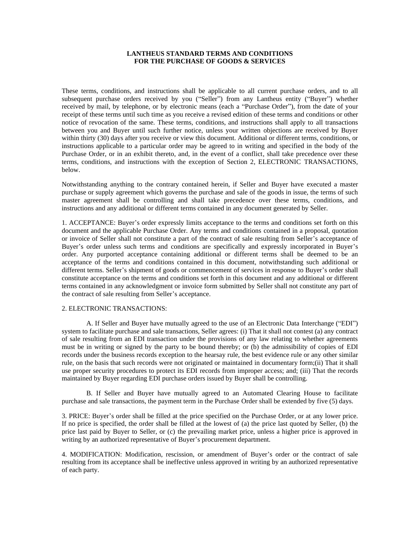# **LANTHEUS STANDARD TERMS AND CONDITIONS FOR THE PURCHASE OF GOODS & SERVICES**

These terms, conditions, and instructions shall be applicable to all current purchase orders, and to all subsequent purchase orders received by you ("Seller") from any Lantheus entity ("Buyer") whether received by mail, by telephone, or by electronic means (each a "Purchase Order"), from the date of your receipt of these terms until such time as you receive a revised edition of these terms and conditions or other notice of revocation of the same. These terms, conditions, and instructions shall apply to all transactions between you and Buyer until such further notice, unless your written objections are received by Buyer within thirty (30) days after you receive or view this document. Additional or different terms, conditions, or instructions applicable to a particular order may be agreed to in writing and specified in the body of the Purchase Order, or in an exhibit thereto, and, in the event of a conflict, shall take precedence over these terms, conditions, and instructions with the exception of Section 2, ELECTRONIC TRANSACTIONS, below.

Notwithstanding anything to the contrary contained herein, if Seller and Buyer have executed a master purchase or supply agreement which governs the purchase and sale of the goods in issue, the terms of such master agreement shall be controlling and shall take precedence over these terms, conditions, and instructions and any additional or different terms contained in any document generated by Seller.

1. ACCEPTANCE: Buyer's order expressly limits acceptance to the terms and conditions set forth on this document and the applicable Purchase Order. Any terms and conditions contained in a proposal, quotation or invoice of Seller shall not constitute a part of the contract of sale resulting from Seller's acceptance of Buyer's order unless such terms and conditions are specifically and expressly incorporated in Buyer's order. Any purported acceptance containing additional or different terms shall be deemed to be an acceptance of the terms and conditions contained in this document, notwithstanding such additional or different terms. Seller's shipment of goods or commencement of services in response to Buyer's order shall constitute acceptance on the terms and conditions set forth in this document and any additional or different terms contained in any acknowledgment or invoice form submitted by Seller shall not constitute any part of the contract of sale resulting from Seller's acceptance.

# 2. ELECTRONIC TRANSACTIONS:

A. If Seller and Buyer have mutually agreed to the use of an Electronic Data Interchange ("EDI") system to facilitate purchase and sale transactions, Seller agrees: (i) That it shall not contest (a) any contract of sale resulting from an EDI transaction under the provisions of any law relating to whether agreements must be in writing or signed by the party to be bound thereby; or (b) the admissibility of copies of EDI records under the business records exception to the hearsay rule, the best evidence rule or any other similar rule, on the basis that such records were not originated or maintained in documentary form;(ii) That it shall use proper security procedures to protect its EDI records from improper access; and; (iii) That the records maintained by Buyer regarding EDI purchase orders issued by Buyer shall be controlling.

B. If Seller and Buyer have mutually agreed to an Automated Clearing House to facilitate purchase and sale transactions, the payment term in the Purchase Order shall be extended by five (5) days.

3. PRICE: Buyer's order shall be filled at the price specified on the Purchase Order, or at any lower price. If no price is specified, the order shall be filled at the lowest of (a) the price last quoted by Seller, (b) the price last paid by Buyer to Seller, or (c) the prevailing market price, unless a higher price is approved in writing by an authorized representative of Buyer's procurement department.

4. MODIFICATION: Modification, rescission, or amendment of Buyer's order or the contract of sale resulting from its acceptance shall be ineffective unless approved in writing by an authorized representative of each party.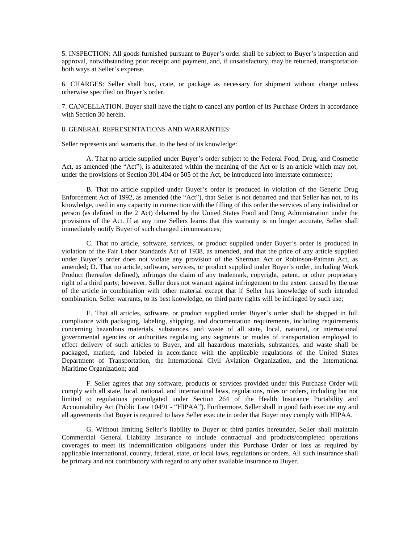5. INSPECTION: All goods furnished pursuant to Buyer's order shall be subject to Buyer's inspection and approval, notwithstanding prior receipt and payment, and, if unsatisfactory, may be returned, transportation both ways at Seller's expense.

6. CHARGES: Seller shall box, crate, or package as necessary for shipment without charge unless otherwise specified on Buyer's order.

7. CANCELLATION. Buyer shall have the right to cancel any portion of its Purchase Orders in accordance with Section 30 herein.

8. GENERAL REPRESENTATIONS AND WARRANTIES:

Seller represents and warrants that, to the best of its knowledge:

A. That no article supplied under Buyer's order subject to the Federal Food, Drug, and Cosmetic Act, as amended (the "Act"), is adulterated within the meaning of the Act or is an article which may not, under the provisions of Section 301,404 or 505 of the Act, be introduced into interstate commerce;

B. That no article supplied under Buyer's order is produced in violation of the Generic Drug Enforcement Act of 1992, as amended (the "Act"), that Seller is not debarred and that Seller has not, to its knowledge, used in any capacity in connection with the filling of this order the services of any individual or person (as defined in the 2 Act) debarred by the United States Food and Drug Administration under the provisions of the Act. If at any time Sellers learns that this warranty is no longer accurate, Seller shall immediately notify Buyer of such changed circumstances;

C. That no article, software, services, or product supplied under Buyer's order is produced in violation of the Fair Labor Standards Act of 1938, as amended, and that the price of any article supplied under Buyer's order does not violate any provision of the Sherman Act or Robinson-Patman Act, as amended; D. That no article, software, services, or product supplied under Buyer's order, including Work Product (hereafter defined), infringes the claim of any trademark, copyright, patent, or other proprietary right of a third party; however, Seller does not warrant against infringement to the extent caused by the use of the article in combination with other material except that if Seller has knowledge of such intended combination. Seller warrants, to its best knowledge, no third party rights will be infringed by such use;

E. That all articles, software, or product supplied under Buyer's order shall be shipped in full compliance with packaging, labeling, shipping, and documentation requirements, including requirements concerning hazardous materials, substances, and waste of all state, local, national, or international governmental agencies or authorities regulating any segments or modes of transportation employed to effect delivery of such articles to Buyer, and all hazardous materials, substances, and waste shall be packaged, marked, and labeled in accordance with the applicable regulations of the United States Department of Transportation, the International Civil Aviation Organization, and the International Maritime Organization; and

F. Seller agrees that any software, products or services provided under this Purchase Order will comply with all state, local, national, and international laws, regulations, rules or orders, including but not limited to regulations promulgated under Section 264 of the Health Insurance Portability and Accountability Act (Public Law 10491 - "HIPAA"). Furthermore, Seller shall in good faith execute any and all agreements that Buyer is required to have Seller execute in order that Buyer may comply with HIPAA.

G. Without limiting Seller's liability to Buyer or third parties hereunder, Seller shall maintain Commercial General Liability Insurance to include contractual and products/completed operations coverages to meet its indemnification obligations under this Purchase Order or loss as required by applicable international, country, federal, state, or local laws, regulations or orders. All such insurance shall be primary and not contributory with regard to any other available insurance to Buyer.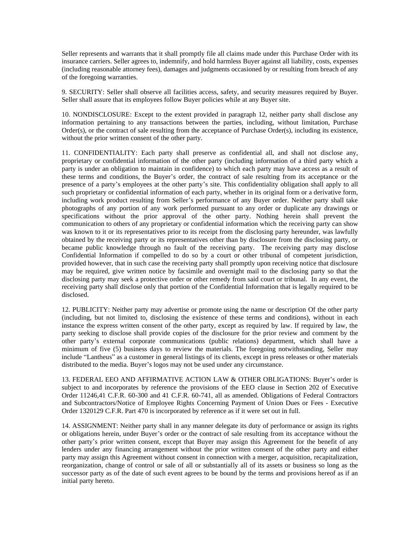Seller represents and warrants that it shall promptly file all claims made under this Purchase Order with its insurance carriers. Seller agrees to, indemnify, and hold harmless Buyer against all liability, costs, expenses (including reasonable attorney fees), damages and judgments occasioned by or resulting from breach of any of the foregoing warranties.

9. SECURITY: Seller shall observe all facilities access, safety, and security measures required by Buyer. Seller shall assure that its employees follow Buyer policies while at any Buyer site.

10. NONDISCLOSURE: Except to the extent provided in paragraph 12, neither party shall disclose any information pertaining to any transactions between the parties, including, without limitation, Purchase Order(s), or the contract of sale resulting from the acceptance of Purchase Order(s), including its existence, without the prior written consent of the other party.

11. CONFIDENTIALITY: Each party shall preserve as confidential all, and shall not disclose any, proprietary or confidential information of the other party (including information of a third party which a party is under an obligation to maintain in confidence) to which each party may have access as a result of these terms and conditions, the Buyer's order, the contract of sale resulting from its acceptance or the presence of a party's employees at the other party's site. This confidentiality obligation shall apply to all such proprietary or confidential information of each party, whether in its original form or a derivative form, including work product resulting from Seller's performance of any Buyer order. Neither party shall take photographs of any portion of any work performed pursuant to any order or duplicate any drawings or specifications without the prior approval of the other party. Nothing herein shall prevent the communication to others of any proprietary or confidential information which the receiving party can show was known to it or its representatives prior to its receipt from the disclosing party hereunder, was lawfully obtained by the receiving party or its representatives other than by disclosure from the disclosing party, or became public knowledge through no fault of the receiving party. The receiving party may disclose Confidential Information if compelled to do so by a court or other tribunal of competent jurisdiction, provided however, that in such case the receiving party shall promptly upon receiving notice that disclosure may be required, give written notice by facsimile and overnight mail to the disclosing party so that the disclosing party may seek a protective order or other remedy from said court or tribunal. In any event, the receiving party shall disclose only that portion of the Confidential Information that is legally required to be disclosed.

12. PUBLICITY: Neither party may advertise or promote using the name or description Of the other party (including, but not limited to, disclosing the existence of these terms and conditions), without in each instance the express written consent of the other party, except as required by law. If required by law, the party seeking to disclose shall provide copies of the disclosure for the prior review and comment by the other party's external corporate communications (public relations) department, which shall have a minimum of five (5) business days to review the materials. The foregoing notwithstanding, Seller may include "Lantheus" as a customer in general listings of its clients, except in press releases or other materials distributed to the media. Buyer's logos may not be used under any circumstance.

13. FEDERAL EEO AND AFFIRMATIVE ACTION LAW & OTHER OBLIGATIONS: Buyer's order is subject to and incorporates by reference the provisions of the EEO clause in Section 202 of Executive Order 11246,41 C.F.R. 60-300 and 41 C.F.R. 60-741, all as amended. Obligations of Federal Contractors and Subcontractors/Notice of Employee Rights Concerning Payment of Union Dues or Fees - Executive Order 1320129 C.F.R. Part 470 is incorporated by reference as if it were set out in full.

14. ASSIGNMENT: Neither party shall in any manner delegate its duty of performance or assign its rights or obligations herein, under Buyer's order or the contract of sale resulting from its acceptance without the other party's prior written consent, except that Buyer may assign this Agreement for the benefit of any lenders under any financing arrangement without the prior written consent of the other party and either party may assign this Agreement without consent in connection with a merger, acquisition, recapitalization, reorganization, change of control or sale of all or substantially all of its assets or business so long as the successor party as of the date of such event agrees to be bound by the terms and provisions hereof as if an initial party hereto.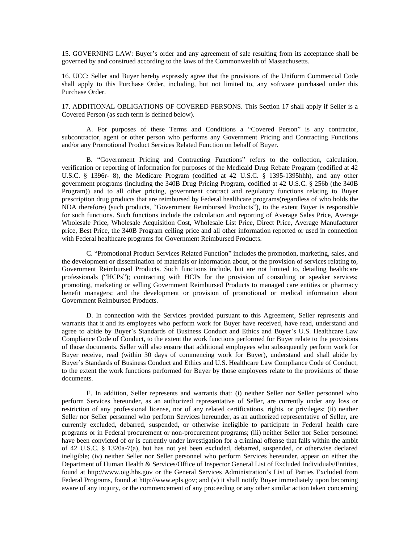15. GOVERNING LAW: Buyer's order and any agreement of sale resulting from its acceptance shall be governed by and construed according to the laws of the Commonwealth of Massachusetts.

16. UCC: Seller and Buyer hereby expressly agree that the provisions of the Uniform Commercial Code shall apply to this Purchase Order, including, but not limited to, any software purchased under this Purchase Order.

17. ADDITIONAL OBLIGATIONS OF COVERED PERSONS. This Section 17 shall apply if Seller is a Covered Person (as such term is defined below).

A. For purposes of these Terms and Conditions a "Covered Person" is any contractor, subcontractor, agent or other person who performs any Government Pricing and Contracting Functions and/or any Promotional Product Services Related Function on behalf of Buyer.

B. "Government Pricing and Contracting Functions" refers to the collection, calculation, verification or reporting of information for purposes of the Medicaid Drug Rebate Program (codified at 42 U.S.C. § 1396r- 8), the Medicare Program (codified at 42 U.S.C. § 1395-1395hhh), and any other government programs (including the 340B Drug Pricing Program, codified at 42 U.S.C. § 256b (the 340B Program)) and to all other pricing, government contract and regulatory functions relating to Buyer prescription drug products that are reimbursed by Federal healthcare programs(regardless of who holds the NDA therefore) (such products, "Government Reimbursed Products"), to the extent Buyer is responsible for such functions. Such functions include the calculation and reporting of Average Sales Price, Average Wholesale Price, Wholesale Acquisition Cost, Wholesale List Price, Direct Price, Average Manufacturer price, Best Price, the 340B Program ceiling price and all other information reported or used in connection with Federal healthcare programs for Government Reimbursed Products.

C. "Promotional Product Services Related Function" includes the promotion, marketing, sales, and the development or dissemination of materials or information about, or the provision of services relating to, Government Reimbursed Products. Such functions include, but are not limited to, detailing healthcare professionals ("HCPs"); contracting with HCPs for the provision of consulting or speaker services; promoting, marketing or selling Government Reimbursed Products to managed care entities or pharmacy benefit managers; and the development or provision of promotional or medical information about Government Reimbursed Products.

D. In connection with the Services provided pursuant to this Agreement, Seller represents and warrants that it and its employees who perform work for Buyer have received, have read, understand and agree to abide by Buyer's Standards of Business Conduct and Ethics and Buyer's U.S. Healthcare Law Compliance Code of Conduct, to the extent the work functions performed for Buyer relate to the provisions of those documents. Seller will also ensure that additional employees who subsequently perform work for Buyer receive, read (within 30 days of commencing work for Buyer), understand and shall abide by Buyer's Standards of Business Conduct and Ethics and U.S. Healthcare Law Compliance Code of Conduct, to the extent the work functions performed for Buyer by those employees relate to the provisions of those documents.

E. In addition, Seller represents and warrants that: (i) neither Seller nor Seller personnel who perform Services hereunder, as an authorized representative of Seller, are currently under any loss or restriction of any professional license, nor of any related certifications, rights, or privileges; (ii) neither Seller nor Seller personnel who perform Services hereunder, as an authorized representative of Seller, are currently excluded, debarred, suspended, or otherwise ineligible to participate in Federal health care programs or in Federal procurement or non-procurement programs; (iii) neither Seller nor Seller personnel have been convicted of or is currently under investigation for a criminal offense that falls within the ambit of 42 U.S.C. § 1320a-7(a), but has not yet been excluded, debarred, suspended, or otherwise declared ineligible; (iv) neither Seller nor Seller personnel who perform Services hereunder, appear on either the Department of Human Health & Services/Office of Inspector General List of Excluded Individuals/Entities, found at http://www.oig.hhs.gov or the General Services Administration's List of Parties Excluded from Federal Programs, found at http://www.epls.gov; and (v) it shall notify Buyer immediately upon becoming aware of any inquiry, or the commencement of any proceeding or any other similar action taken concerning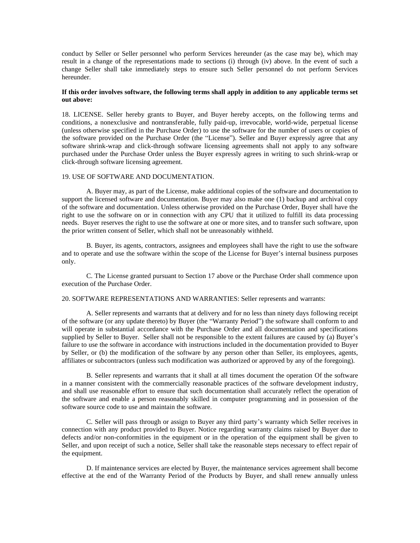conduct by Seller or Seller personnel who perform Services hereunder (as the case may be), which may result in a change of the representations made to sections (i) through (iv) above. In the event of such a change Seller shall take immediately steps to ensure such Seller personnel do not perform Services hereunder.

# **If this order involves software, the following terms shall apply in addition to any applicable terms set out above:**

18. LICENSE. Seller hereby grants to Buyer, and Buyer hereby accepts, on the following terms and conditions, a nonexclusive and nontransferable, fully paid-up, irrevocable, world-wide, perpetual license (unless otherwise specified in the Purchase Order) to use the software for the number of users or copies of the software provided on the Purchase Order (the "License"). Seller and Buyer expressly agree that any software shrink-wrap and click-through software licensing agreements shall not apply to any software purchased under the Purchase Order unless the Buyer expressly agrees in writing to such shrink-wrap or click-through software licensing agreement.

# 19. USE OF SOFTWARE AND DOCUMENTATION.

A. Buyer may, as part of the License, make additional copies of the software and documentation to support the licensed software and documentation. Buyer may also make one (1) backup and archival copy of the software and documentation. Unless otherwise provided on the Purchase Order, Buyer shall have the right to use the software on or in connection with any CPU that it utilized to fulfill its data processing needs. Buyer reserves the right to use the software at one or more sites, and to transfer such software, upon the prior written consent of Seller, which shall not be unreasonably withheld.

B. Buyer, its agents, contractors, assignees and employees shall have the right to use the software and to operate and use the software within the scope of the License for Buyer's internal business purposes only.

C. The License granted pursuant to Section 17 above or the Purchase Order shall commence upon execution of the Purchase Order.

20. SOFTWARE REPRESENTATIONS AND WARRANTIES: Seller represents and warrants:

A. Seller represents and warrants that at delivery and for no less than ninety days following receipt of the software (or any update thereto) by Buyer (the "Warranty Period") the software shall conform to and will operate in substantial accordance with the Purchase Order and all documentation and specifications supplied by Seller to Buyer. Seller shall not be responsible to the extent failures are caused by (a) Buyer's failure to use the software in accordance with instructions included in the documentation provided to Buyer by Seller, or (b) the modification of the software by any person other than Seller, its employees, agents, affiliates or subcontractors (unless such modification was authorized or approved by any of the foregoing).

B. Seller represents and warrants that it shall at all times document the operation Of the software in a manner consistent with the commercially reasonable practices of the software development industry, and shall use reasonable effort to ensure that such documentation shall accurately reflect the operation of the software and enable a person reasonably skilled in computer programming and in possession of the software source code to use and maintain the software.

C. Seller will pass through or assign to Buyer any third party's warranty which Seller receives in connection with any product provided to Buyer. Notice regarding warranty claims raised by Buyer due to defects and/or non-conformities in the equipment or in the operation of the equipment shall be given to Seller, and upon receipt of such a notice, Seller shall take the reasonable steps necessary to effect repair of the equipment.

D. If maintenance services are elected by Buyer, the maintenance services agreement shall become effective at the end of the Warranty Period of the Products by Buyer, and shall renew annually unless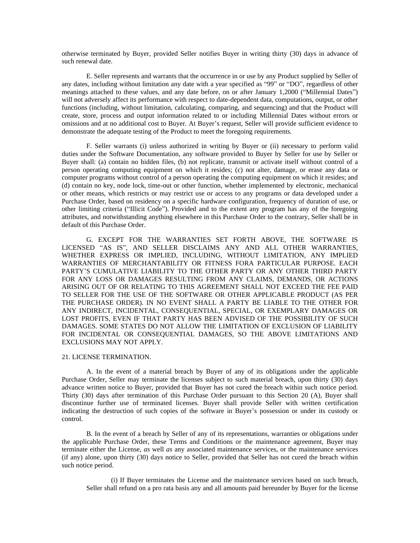otherwise terminated by Buyer, provided Seller notifies Buyer in writing thirty (30) days in advance of such renewal date.

E. Seller represents and warrants that the occurrence in or use by any Product supplied by Seller of any dates, including without limitation any date with a year specified as "99" or "DO", regardless of other meanings attached to these values, and any date before, on or after January 1,2000 ("Millennial Dates") will not adversely affect its performance with respect to date-dependent data, computations, output, or other functions (including, without limitation, calculating, comparing, and sequencing) and that the Product will create, store, process and output information related to or including Millennial Dates without errors or omissions and at no additional cost to Buyer. At Buyer's request, Seller will provide sufficient evidence to demonstrate the adequate testing of the Product to meet the foregoing requirements.

F. Seller warrants (i) unless authorized in writing by Buyer or (ii) necessary to perform valid duties under the Software Documentation, any software provided to Buyer by Seller for use by Seller or Buyer shall: (a) contain no hidden files, (b) not replicate, transmit or activate itself without control of a person operating computing equipment on which it resides; (c) not alter, damage, or erase any data or computer programs without control of a person operating the computing equipment on which it resides; and (d) contain no key, node lock, time-out or other function, whether implemented by electronic, mechanical or other means, which restricts or may restrict use or access to any programs or data developed under a Purchase Order, based on residency on a specific hardware configuration, frequency of duration of use, or other limiting criteria ("Illicit Code"). Provided and to the extent any program has any of the foregoing attributes, and notwithstanding anything elsewhere in this Purchase Order to the contrary, Seller shall be in default of this Purchase Order.

G. EXCEPT FOR THE WARRANTIES SET FORTH ABOVE, THE SOFTWARE IS LICENSED "AS IS", AND SELLER DISCLAIMS ANY AND ALL OTHER WARRANTIES, WHETHER EXPRESS OR IMPLIED, INCLUDING, WITHOUT LIMITATION, ANY IMPLIED WARRANTIES OF MERCHANTABILITY OR FITNESS FORA PARTICULAR PURPOSE. EACH PARTY'S CUMULATIVE LIABILITY TO THE OTHER PARTY OR ANY OTHER THIRD PARTY FOR ANY LOSS OR DAMAGES RESULTING FROM ANY CLAIMS, DEMANDS, OR ACTIONS ARISING OUT OF OR RELATING TO THIS AGREEMENT SHALL NOT EXCEED THE FEE PAID TO SELLER FOR THE USE OF THE SOFTWARE OR OTHER APPLICABLE PRODUCT (AS PER THE PURCHASE ORDER). IN NO EVENT SHALL A PARTY BE LIABLE TO THE OTHER FOR ANY INDIRECT, INCIDENTAL, CONSEQUENTIAL, SPECIAL, OR EXEMPLARY DAMAGES OR LOST PROFITS, EVEN IF THAT PARTY HAS BEEN ADVISED OF THE POSSIBILITY OF SUCH DAMAGES. SOME STATES DO NOT ALLOW THE LIMITATION OF EXCLUSION OF LIABILITY FOR INCIDENTAL OR CONSEQUENTIAL DAMAGES, SO THE ABOVE LIMITATIONS AND EXCLUSIONS MAY NOT APPLY.

#### 21. LICENSE TERMINATION.

A. In the event of a material breach by Buyer of any of its obligations under the applicable Purchase Order, Seller may terminate the licenses subject to such material breach, upon thirty (30) days advance written notice to Buyer, provided that Buyer has not cured the breach within such notice period. Thirty (30) days after termination of this Purchase Order pursuant to this Section 20 (A), Buyer shall discontinue further use of terminated licenses. Buyer shall provide Seller with written certification indicating the destruction of such copies of the software in Buyer's possession or under its custody or control.

B. In the event of a breach by Seller of any of its representations, warranties or obligations under the applicable Purchase Order, these Terms and Conditions or the maintenance agreement, Buyer may terminate either the License, *as* well *as* any associated maintenance services, or the maintenance services (if any) alone, upon thirty (30) days notice to Seller, provided that Seller has not cured the breach within such notice period.

(i) If Buyer terminates the License and the maintenance services based on such breach, Seller shall refund on a pro rata basis any and all amounts paid hereunder by Buyer for the license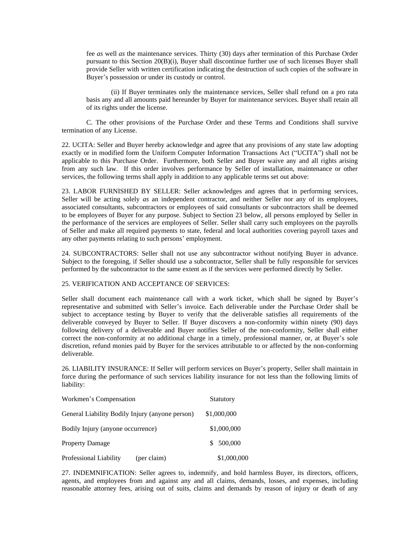fee *as* well *as* the maintenance services. Thirty (30) days after termination of this Purchase Order pursuant to this Section 20(B)(i), Buyer shall discontinue further use of such licenses Buyer shall provide Seller with written certification indicating the destruction of such copies of the software in Buyer's possession or under its custody or control.

(ii) If Buyer terminates only the maintenance services, Seller shall refund on a pro rata basis any and all amounts paid hereunder by Buyer for maintenance services. Buyer shall retain all of its rights under the license.

C. The other provisions of the Purchase Order and these Terms and Conditions shall survive termination of any License.

22. UCITA: Seller and Buyer hereby acknowledge and agree that any provisions of any state law adopting exactly or in modified form the Uniform Computer Information Transactions Act ("UCITA") shall not be applicable to this Purchase Order. Furthermore, both Seller and Buyer waive any and all rights arising from any such law. If this order involves performance by Seller of installation, maintenance or other services, the following terms shall apply in addition to any applicable terms set out above:

23. LABOR FURNISHED BY SELLER: Seller acknowledges and agrees that in performing services, Seller will be acting solely *as* an independent contractor, and neither Seller nor any of its employees, associated consultants, subcontractors or employees of said consultants or subcontractors shall be deemed to be employees of Buyer for any purpose. Subject to Section 23 below, all persons employed by Seller in the performance of the services are employees of Seller. Seller shall carry such employees on the payrolls of Seller and make all required payments to state, federal and local authorities covering payroll taxes and any other payments relating to such persons' employment.

24. SUBCONTRACTORS: Seller shall not use any subcontractor without notifying Buyer in advance. Subject to the foregoing, if Seller should use a subcontractor, Seller shall be fully responsible for services performed by the subcontractor to the same extent as if the services were performed directly by Seller.

# 25. VERIFICATION AND ACCEPTANCE OF SERVICES:

Seller shall document each maintenance call with a work ticket, which shall be signed by Buyer's representative and submitted with Seller's invoice. Each deliverable under the Purchase Order shall be subject to acceptance testing by Buyer to verify that the deliverable satisfies all requirements of the deliverable conveyed by Buyer to Seller. If Buyer discovers a non-conformity within ninety (90) days following delivery of a deliverable and Buyer notifies Seller of the non-conformity, Seller shall either correct the non-conformity at no additional charge in a timely, professional manner, or, at Buyer's sole discretion, refund monies paid by Buyer for the services attributable to or affected by the non-conforming deliverable.

26. LIABILITY INSURANCE: If Seller will perform services on Buyer's property, Seller shall maintain in force during the performance of such services liability insurance for not less than the following limits of liability:

| Workmen's Compensation                          | Statutory   |
|-------------------------------------------------|-------------|
| General Liability Bodily Injury (anyone person) | \$1,000,000 |
| Bodily Injury (anyone occurrence)               | \$1,000,000 |
| <b>Property Damage</b>                          | \$500,000   |
| Professional Liability<br>(per claim)           | \$1,000,000 |

27. INDEMNIFICATION: Seller agrees to, indemnify, and hold harmless Buyer, its directors, officers, agents, and employees from and against any and all claims, demands, losses, and expenses, including reasonable attorney fees, arising out of suits, claims and demands by reason of injury or death of any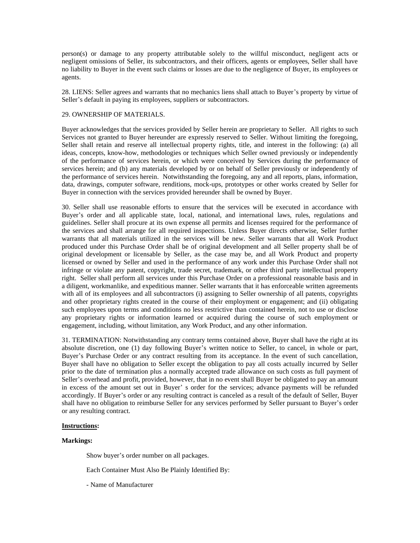person(s) or damage to any property attributable solely to the willful misconduct, negligent acts or negligent omissions of Seller, its subcontractors, and their officers, agents or employees, Seller shall have no liability to Buyer in the event such claims or losses are due to the negligence of Buyer, its employees or agents.

28. LIENS: Seller agrees and warrants that no mechanics liens shall attach to Buyer's property by virtue of Seller's default in paying its employees, suppliers or subcontractors.

# 29. OWNERSHIP OF MATERIALS.

Buyer acknowledges that the services provided by Seller herein are proprietary to Seller. All rights to such Services not granted to Buyer hereunder are expressly reserved to Seller. Without limiting the foregoing, Seller shall retain and reserve all intellectual property rights, title, and interest in the following: (a) all ideas, concepts, know-how, methodologies or techniques which Seller owned previously or independently of the performance of services herein, or which were conceived by Services during the performance of services herein; and (b) any materials developed by or on behalf of Seller previously or independently of the performance of services herein. Notwithstanding the foregoing, any and all reports, plans, information, data, drawings, computer software, renditions, mock-ups, prototypes or other works created by Seller for Buyer in connection with the services provided hereunder shall be owned by Buyer.

30. Seller shall use reasonable efforts to ensure that the services will be executed in accordance with Buyer's order and all applicable state, local, national, and international laws, rules, regulations and guidelines. Seller shall procure at its own expense all permits and licenses required for the performance of the services and shall arrange for all required inspections. Unless Buyer directs otherwise, Seller further warrants that all materials utilized in the services will be new. Seller warrants that all Work Product produced under this Purchase Order shall be of original development and all Seller property shall be of original development or licensable by Seller, as the case may be, and all Work Product and property licensed or owned by Seller and used in the performance of any work under this Purchase Order shall not infringe or violate any patent, copyright, trade secret, trademark, or other third party intellectual property right. Seller shall perform all services under this Purchase Order on a professional reasonable basis and in a diligent, workmanlike, and expeditious manner. Seller warrants that it has enforceable written agreements with all of its employees and all subcontractors (i) assigning to Seller ownership of all patents, copyrights and other proprietary rights created in the course of their employment or engagement; and (ii) obligating such employees upon terms and conditions no less restrictive than contained herein, not to use or disclose any proprietary rights or information learned or acquired during the course of such employment or engagement, including, without limitation, any Work Product, and any other information.

31. TERMINATION: Notwithstanding any contrary terms contained above, Buyer shall have the right at its absolute discretion, one (1) day following Buyer's written notice to Seller, to cancel, in whole or part, Buyer's Purchase Order or any contract resulting from its acceptance. In the event of such cancellation, Buyer shall have no obligation to Seller except the obligation to pay all costs actually incurred by Seller prior to the date of termination plus a normally accepted trade allowance on such costs as full payment of Seller's overhead and profit, provided, however, that in no event shall Buyer be obligated to pay an amount in excess of the amount set out in Buyer' s order for the services; advance payments will be refunded accordingly. If Buyer's order or any resulting contract is canceled as a result of the default of Seller, Buyer shall have no obligation to reimburse Seller for any services performed by Seller pursuant to Buyer's order or any resulting contract.

# **Instructions:**

# **Markings:**

Show buyer's order number on all packages.

Each Container Must Also Be Plainly Identified By:

- Name of Manufacturer